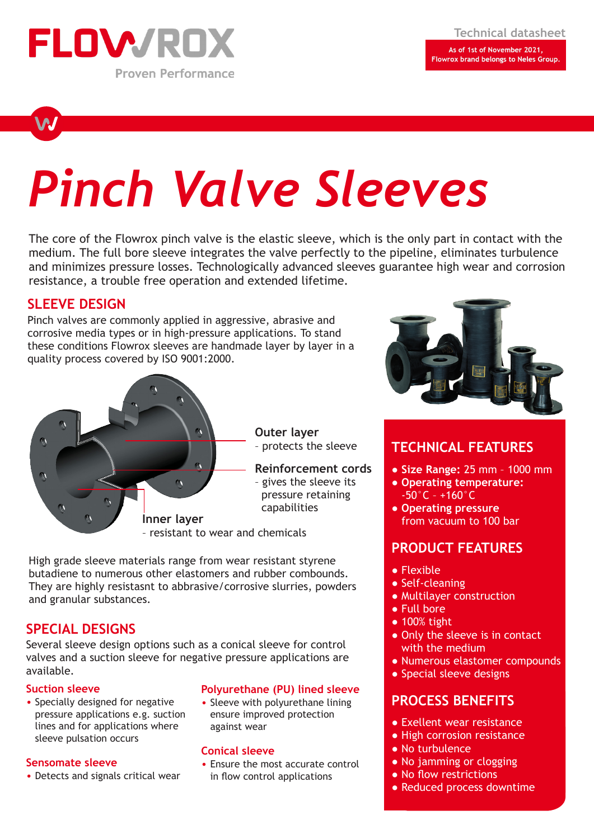

Flowrox brand belongs to Neles Group.

# *Pinch Valve Sleeves*

The core of the Flowrox pinch valve is the elastic sleeve, which is the only part in contact with the medium. The full bore sleeve integrates the valve perfectly to the pipeline, eliminates turbulence and minimizes pressure losses. Technologically advanced sleeves guarantee high wear and corrosion resistance, a trouble free operation and extended lifetime.

# **SLEEVE DESIGN**

Pinch valves are commonly applied in aggressive, abrasive and corrosive media types or in high-pressure applications. To stand these conditions Flowrox sleeves are handmade layer by layer in a quality process covered by ISO 9001:2000.



High grade sleeve materials range from wear resistant styrene butadiene to numerous other elastomers and rubber combounds. They are highly resistasnt to abbrasive/corrosive slurries, powders and granular substances.

## **SPECIAL DESIGNS**

Several sleeve design options such as a conical sleeve for control valves and a suction sleeve for negative pressure applications are available.

#### **Suction sleeve**

• Specially designed for negative pressure applications e.g. suction lines and for applications where sleeve pulsation occurs

### **Sensomate sleeve**

• Detects and signals critical wear

### **Polyurethane (PU) lined sleeve**

• Sleeve with polyurethane lining ensure improved protection against wear

#### **Conical sleeve**

• Ensure the most accurate control in flow control applications



# **TECHNICAL FEATURES**

- **Size Range:** 25 mm 1000 mm
- **Operating temperature:**  -50°C – +160°C
- **Operating pressure**  from vacuum to 100 bar

# **PRODUCT FEATURES**

- Flexible
- Self-cleaning
- Multilayer construction
- Full bore
- 100% tight
- Only the sleeve is in contact with the medium
- Numerous elastomer compounds
- Special sleeve designs

# **PROCESS BENEFITS**

- Exellent wear resistance
- High corrosion resistance
- No turbulence
- No jamming or clogging
- No flow restrictions
- Reduced process downtime